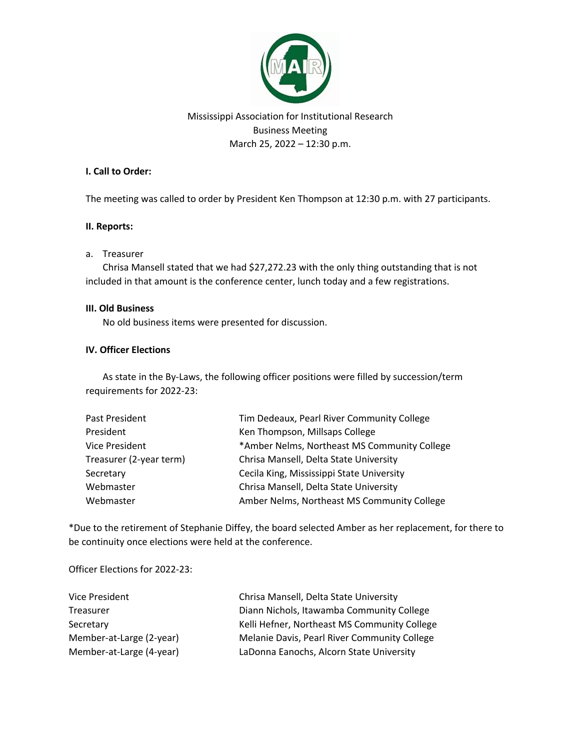

# Mississippi Association for Institutional Research Business Meeting March 25, 2022 – 12:30 p.m.

## **I. Call to Order:**

The meeting was called to order by President Ken Thompson at 12:30 p.m. with 27 participants.

### **II. Reports:**

### a. Treasurer

Chrisa Mansell stated that we had \$27,272.23 with the only thing outstanding that is not included in that amount is the conference center, lunch today and a few registrations.

### **III. Old Business**

No old business items were presented for discussion.

# **IV. Officer Elections**

As state in the By-Laws, the following officer positions were filled by succession/term requirements for 2022-23:

| Past President          | Tim Dedeaux, Pearl River Community College   |
|-------------------------|----------------------------------------------|
| President               | Ken Thompson, Millsaps College               |
| <b>Vice President</b>   | *Amber Nelms, Northeast MS Community College |
| Treasurer (2-year term) | Chrisa Mansell, Delta State University       |
| Secretary               | Cecila King, Mississippi State University    |
| Webmaster               | Chrisa Mansell, Delta State University       |
| Webmaster               | Amber Nelms, Northeast MS Community College  |

\*Due to the retirement of Stephanie Diffey, the board selected Amber as her replacement, for there to be continuity once elections were held at the conference.

Officer Elections for 2022-23:

| Vice President           | Chrisa Mansell, Delta State University       |
|--------------------------|----------------------------------------------|
| Treasurer                | Diann Nichols, Itawamba Community College    |
| Secretary                | Kelli Hefner, Northeast MS Community College |
| Member-at-Large (2-year) | Melanie Davis, Pearl River Community College |
| Member-at-Large (4-year) | LaDonna Eanochs, Alcorn State University     |